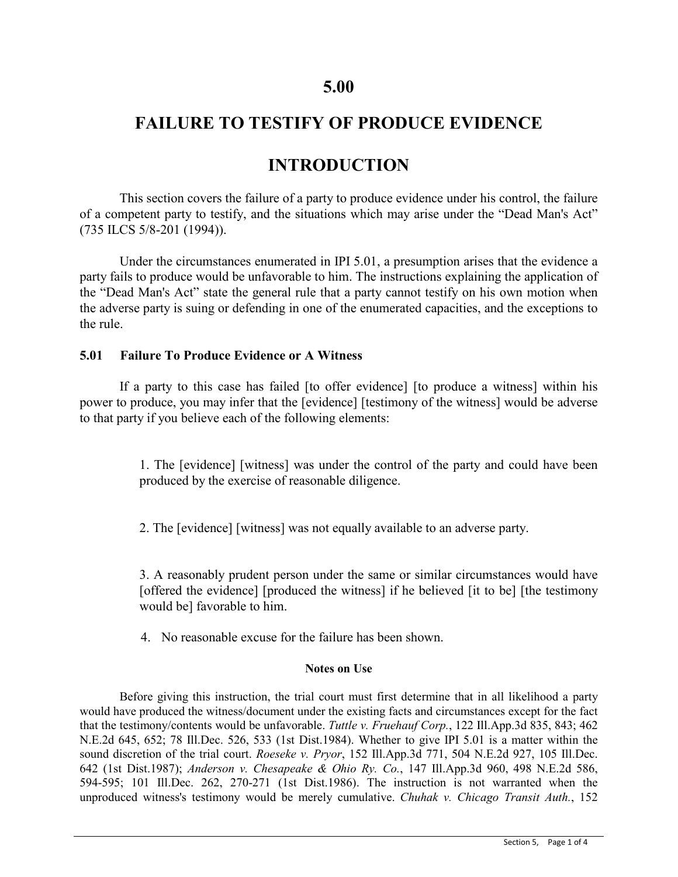## **5.00**

# **FAILURE TO TESTIFY OF PRODUCE EVIDENCE**

## **INTRODUCTION**

This section covers the failure of a party to produce evidence under his control, the failure of a competent party to testify, and the situations which may arise under the "Dead Man's Act" (735 ILCS 5/8-201 (1994)).

Under the circumstances enumerated in IPI 5.01, a presumption arises that the evidence a party fails to produce would be unfavorable to him. The instructions explaining the application of the "Dead Man's Act" state the general rule that a party cannot testify on his own motion when the adverse party is suing or defending in one of the enumerated capacities, and the exceptions to the rule.

### **5.01 Failure To Produce Evidence or A Witness**

If a party to this case has failed [to offer evidence] [to produce a witness] within his power to produce, you may infer that the [evidence] [testimony of the witness] would be adverse to that party if you believe each of the following elements:

> 1. The [evidence] [witness] was under the control of the party and could have been produced by the exercise of reasonable diligence.

2. The [evidence] [witness] was not equally available to an adverse party.

3. A reasonably prudent person under the same or similar circumstances would have [offered the evidence] [produced the witness] if he believed [it to be] [the testimony would be] favorable to him.

4. No reasonable excuse for the failure has been shown.

#### **Notes on Use**

Before giving this instruction, the trial court must first determine that in all likelihood a party would have produced the witness/document under the existing facts and circumstances except for the fact that the testimony/contents would be unfavorable. *Tuttle v. Fruehauf Corp.*, 122 Ill.App.3d 835, 843; 462 N.E.2d 645, 652; 78 Ill.Dec. 526, 533 (1st Dist.1984). Whether to give IPI 5.01 is a matter within the sound discretion of the trial court. *Roeseke v. Pryor*, 152 Ill.App.3d 771, 504 N.E.2d 927, 105 Ill.Dec. 642 (1st Dist.1987); *Anderson v. Chesapeake & Ohio Ry. Co.*, 147 Ill.App.3d 960, 498 N.E.2d 586, 594-595; 101 Ill.Dec. 262, 270-271 (1st Dist.1986). The instruction is not warranted when the unproduced witness's testimony would be merely cumulative. *Chuhak v. Chicago Transit Auth.*, 152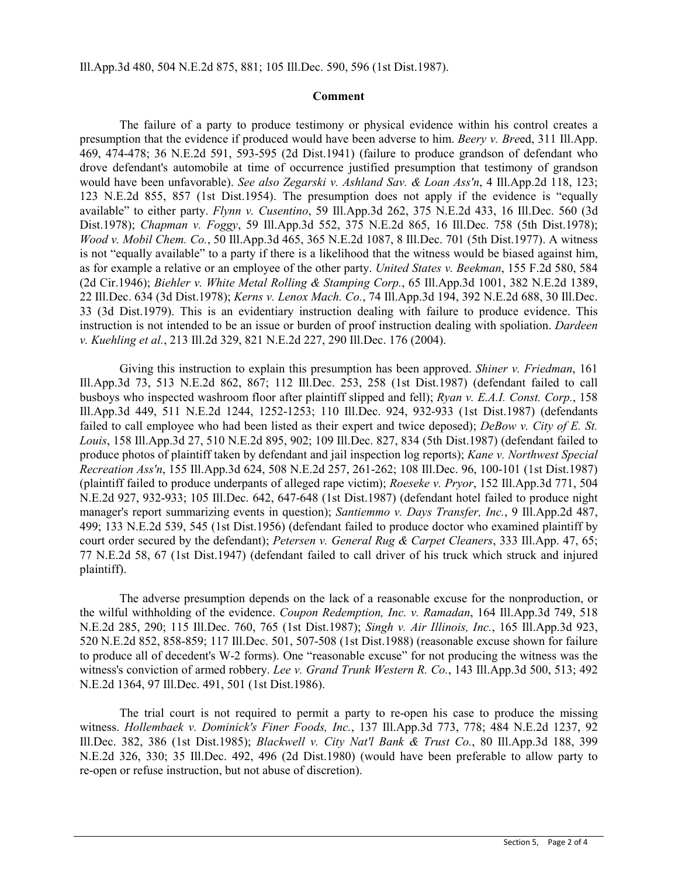Ill.App.3d 480, 504 N.E.2d 875, 881; 105 Ill.Dec. 590, 596 (1st Dist.1987).

#### **Comment**

The failure of a party to produce testimony or physical evidence within his control creates a presumption that the evidence if produced would have been adverse to him. *Beery v. Bre*ed, 311 Ill.App. 469, 474-478; 36 N.E.2d 591, 593-595 (2d Dist.1941) (failure to produce grandson of defendant who drove defendant's automobile at time of occurrence justified presumption that testimony of grandson would have been unfavorable). *See also Zegarski v. Ashland Sav. & Loan Ass'n*, 4 Ill.App.2d 118, 123; 123 N.E.2d 855, 857 (1st Dist.1954). The presumption does not apply if the evidence is "equally available" to either party. *Flynn v. Cusentino*, 59 Ill.App.3d 262, 375 N.E.2d 433, 16 Ill.Dec. 560 (3d Dist.1978); *Chapman v. Foggy*, 59 Ill.App.3d 552, 375 N.E.2d 865, 16 Ill.Dec. 758 (5th Dist.1978); *Wood v. Mobil Chem. Co.*, 50 Ill.App.3d 465, 365 N.E.2d 1087, 8 Ill.Dec. 701 (5th Dist.1977). A witness is not "equally available" to a party if there is a likelihood that the witness would be biased against him, as for example a relative or an employee of the other party. *United States v. Beekman*, 155 F.2d 580, 584 (2d Cir.1946); *Biehler v. White Metal Rolling & Stamping Corp.*, 65 Ill.App.3d 1001, 382 N.E.2d 1389, 22 Ill.Dec. 634 (3d Dist.1978); *Kerns v. Lenox Mach. Co.*, 74 Ill.App.3d 194, 392 N.E.2d 688, 30 Ill.Dec. 33 (3d Dist.1979). This is an evidentiary instruction dealing with failure to produce evidence. This instruction is not intended to be an issue or burden of proof instruction dealing with spoliation. *Dardeen v. Kuehling et al.*, 213 Ill.2d 329, 821 N.E.2d 227, 290 Ill.Dec. 176 (2004).

Giving this instruction to explain this presumption has been approved. *Shiner v. Friedman*, 161 Ill.App.3d 73, 513 N.E.2d 862, 867; 112 Ill.Dec. 253, 258 (1st Dist.1987) (defendant failed to call busboys who inspected washroom floor after plaintiff slipped and fell); *Ryan v. E.A.I. Const. Corp.*, 158 Ill.App.3d 449, 511 N.E.2d 1244, 1252-1253; 110 Ill.Dec. 924, 932-933 (1st Dist.1987) (defendants failed to call employee who had been listed as their expert and twice deposed); *DeBow v. City of E. St. Louis*, 158 Ill.App.3d 27, 510 N.E.2d 895, 902; 109 Ill.Dec. 827, 834 (5th Dist.1987) (defendant failed to produce photos of plaintiff taken by defendant and jail inspection log reports); *Kane v. Northwest Special Recreation Ass'n*, 155 Ill.App.3d 624, 508 N.E.2d 257, 261-262; 108 Ill.Dec. 96, 100-101 (1st Dist.1987) (plaintiff failed to produce underpants of alleged rape victim); *Roeseke v. Pryor*, 152 Ill.App.3d 771, 504 N.E.2d 927, 932-933; 105 Ill.Dec. 642, 647-648 (1st Dist.1987) (defendant hotel failed to produce night manager's report summarizing events in question); *Santiemmo v. Days Transfer, Inc.*, 9 Ill.App.2d 487, 499; 133 N.E.2d 539, 545 (1st Dist.1956) (defendant failed to produce doctor who examined plaintiff by court order secured by the defendant); *Petersen v. General Rug & Carpet Cleaners*, 333 Ill.App. 47, 65; 77 N.E.2d 58, 67 (1st Dist.1947) (defendant failed to call driver of his truck which struck and injured plaintiff).

The adverse presumption depends on the lack of a reasonable excuse for the nonproduction, or the wilful withholding of the evidence. *Coupon Redemption, Inc. v. Ramadan*, 164 Ill.App.3d 749, 518 N.E.2d 285, 290; 115 Ill.Dec. 760, 765 (1st Dist.1987); *Singh v. Air Illinois, Inc.*, 165 Ill.App.3d 923, 520 N.E.2d 852, 858-859; 117 Ill.Dec. 501, 507-508 (1st Dist.1988) (reasonable excuse shown for failure to produce all of decedent's W-2 forms). One "reasonable excuse" for not producing the witness was the witness's conviction of armed robbery. *Lee v. Grand Trunk Western R. Co.*, 143 Ill.App.3d 500, 513; 492 N.E.2d 1364, 97 Ill.Dec. 491, 501 (1st Dist.1986).

The trial court is not required to permit a party to re-open his case to produce the missing witness. *Hollembaek v. Dominick's Finer Foods, Inc.*, 137 Ill.App.3d 773, 778; 484 N.E.2d 1237, 92 Ill.Dec. 382, 386 (1st Dist.1985); *Blackwell v. City Nat'l Bank & Trust Co.*, 80 Ill.App.3d 188, 399 N.E.2d 326, 330; 35 Ill.Dec. 492, 496 (2d Dist.1980) (would have been preferable to allow party to re-open or refuse instruction, but not abuse of discretion).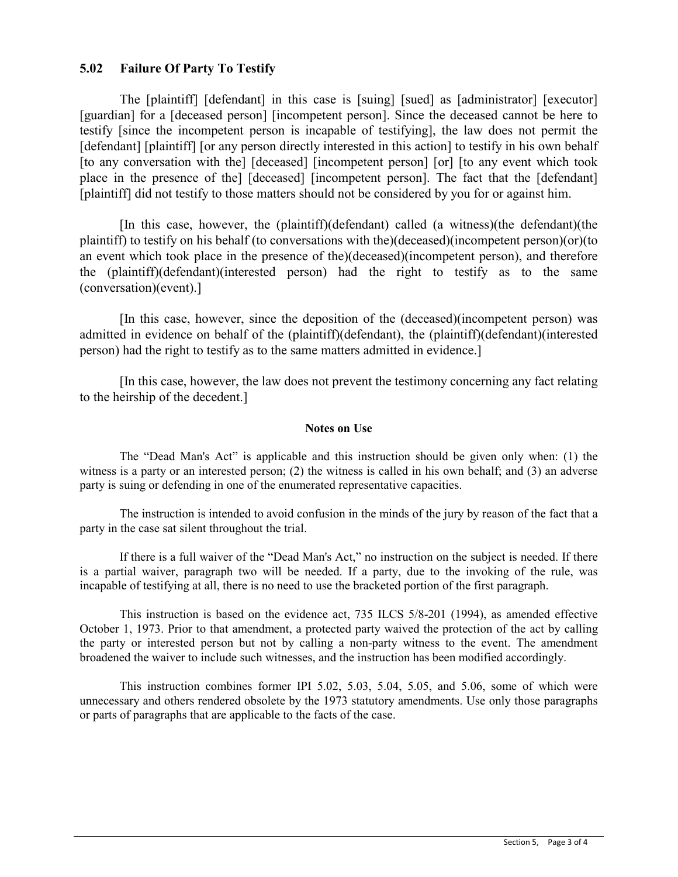### **5.02 Failure Of Party To Testify**

The [plaintiff] [defendant] in this case is [suing] [sued] as [administrator] [executor] [guardian] for a [deceased person] [incompetent person]. Since the deceased cannot be here to testify [since the incompetent person is incapable of testifying], the law does not permit the [defendant] [plaintiff] [or any person directly interested in this action] to testify in his own behalf [to any conversation with the] [deceased] [incompetent person] [or] [to any event which took place in the presence of the] [deceased] [incompetent person]. The fact that the [defendant] [plaintiff] did not testify to those matters should not be considered by you for or against him.

[In this case, however, the (plaintiff)(defendant) called (a witness)(the defendant)(the plaintiff) to testify on his behalf (to conversations with the)(deceased)(incompetent person)(or)(to an event which took place in the presence of the)(deceased)(incompetent person), and therefore the (plaintiff)(defendant)(interested person) had the right to testify as to the same (conversation)(event).]

[In this case, however, since the deposition of the (deceased)(incompetent person) was admitted in evidence on behalf of the (plaintiff)(defendant), the (plaintiff)(defendant)(interested person) had the right to testify as to the same matters admitted in evidence.]

[In this case, however, the law does not prevent the testimony concerning any fact relating to the heirship of the decedent.]

#### **Notes on Use**

The "Dead Man's Act" is applicable and this instruction should be given only when: (1) the witness is a party or an interested person; (2) the witness is called in his own behalf; and (3) an adverse party is suing or defending in one of the enumerated representative capacities.

The instruction is intended to avoid confusion in the minds of the jury by reason of the fact that a party in the case sat silent throughout the trial.

If there is a full waiver of the "Dead Man's Act," no instruction on the subject is needed. If there is a partial waiver, paragraph two will be needed. If a party, due to the invoking of the rule, was incapable of testifying at all, there is no need to use the bracketed portion of the first paragraph.

This instruction is based on the evidence act, 735 ILCS 5/8-201 (1994), as amended effective October 1, 1973. Prior to that amendment, a protected party waived the protection of the act by calling the party or interested person but not by calling a non-party witness to the event. The amendment broadened the waiver to include such witnesses, and the instruction has been modified accordingly.

This instruction combines former IPI 5.02, 5.03, 5.04, 5.05, and 5.06, some of which were unnecessary and others rendered obsolete by the 1973 statutory amendments. Use only those paragraphs or parts of paragraphs that are applicable to the facts of the case.